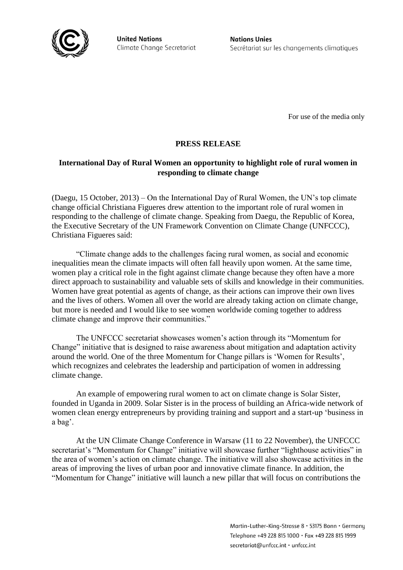

**United Nations** Climate Change Secretariat **Nations Unies** Secrétariat sur les changements climatiques

For use of the media only

# **PRESS RELEASE**

## **International Day of Rural Women an opportunity to highlight role of rural women in responding to climate change**

(Daegu, 15 October, 2013) – On the International Day of Rural Women, the UN's top climate change official Christiana Figueres drew attention to the important role of rural women in responding to the challenge of climate change. Speaking from Daegu, the Republic of Korea, the Executive Secretary of the UN Framework Convention on Climate Change (UNFCCC), Christiana Figueres said:

"Climate change adds to the challenges facing rural women, as social and economic inequalities mean the climate impacts will often fall heavily upon women. At the same time, women play a critical role in the fight against climate change because they often have a more direct approach to sustainability and valuable sets of skills and knowledge in their communities. Women have great potential as agents of change, as their actions can improve their own lives and the lives of others. Women all over the world are already taking action on climate change, but more is needed and I would like to see women worldwide coming together to address climate change and improve their communities."

The UNFCCC secretariat showcases women's action through its "Momentum for Change" initiative that is designed to raise awareness about mitigation and adaptation activity around the world. One of the three Momentum for Change pillars is 'Women for Results', which recognizes and celebrates the leadership and participation of women in addressing climate change.

An example of empowering rural women to act on climate change is Solar Sister, founded in Uganda in 2009. Solar Sister is in the process of building an Africa-wide network of women clean energy entrepreneurs by providing training and support and a start-up 'business in a bag'.

At the UN Climate Change Conference in Warsaw (11 to 22 November), the UNFCCC secretariat's "Momentum for Change" initiative will showcase further "lighthouse activities" in the area of women's action on climate change. The initiative will also showcase activities in the areas of improving the lives of urban poor and innovative climate finance. In addition, the "Momentum for Change" initiative will launch a new pillar that will focus on contributions the